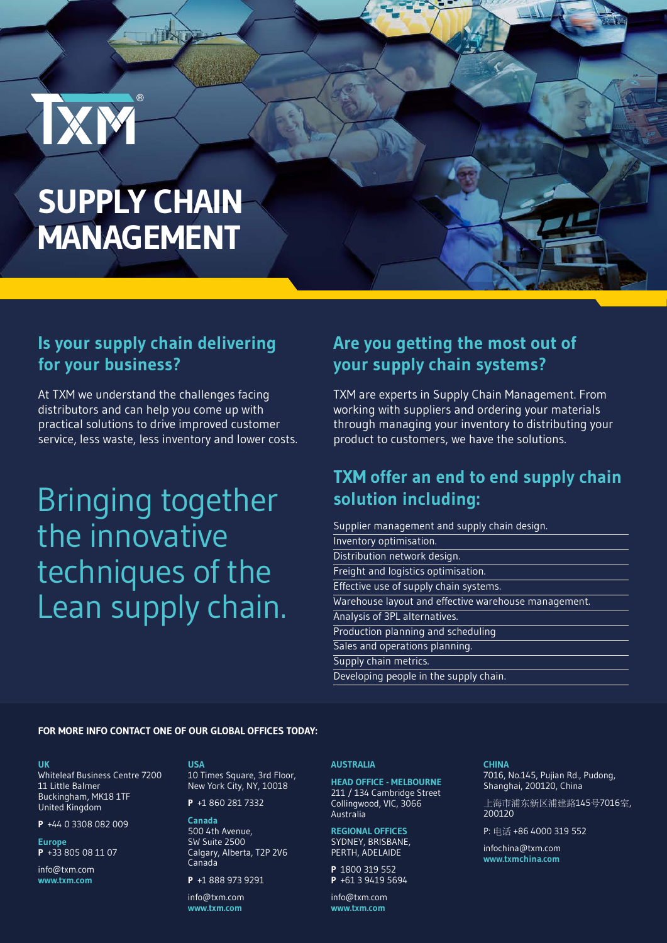# **SUPPLY CHAIN MANAGEMENT**

IXM

HN

### **Is your supply chain delivering for your business?**

At TXM we understand the challenges facing distributors and can help you come up with practical solutions to drive improved customer service, less waste, less inventory and lower costs.

## Bringing together the innovative techniques of the Lean supply chain.

#### **Are you getting the most out of your supply chain systems?**

TXM are experts in Supply Chain Management. From working with suppliers and ordering your materials through managing your inventory to distributing your product to customers, we have the solutions.

#### **TXM offer an end to end supply chain solution including:**

| Supplier management and supply chain design.         |
|------------------------------------------------------|
| Inventory optimisation.                              |
| Distribution network design.                         |
| Freight and logistics optimisation.                  |
| Effective use of supply chain systems.               |
| Warehouse layout and effective warehouse management. |
| Analysis of 3PL alternatives.                        |
| Production planning and scheduling                   |
| Sales and operations planning.                       |
| Supply chain metrics.                                |
| Developing people in the supply chain.               |

#### **FOR MORE INFO CONTACT ONE OF OUR GLOBAL OFFICES TODAY:**

#### **UK**

Whiteleaf Business Centre 7200 11 Little Balmer Buckingham, MK18 1TF United Kingdom

**P** +44 0 3308 082 009

**Europe P** +33 805 08 11 07

info@txm.com **www.txm.com**

#### **USA**

10 Times Square, 3rd Floor, New York City, NY, 10018

**P** +1 860 281 7332

**Canada** 500 4th Avenue, SW Suite 2500 Calgary, Alberta, T2P 2V6 Canada

**P** +1 888 973 9291

info@txm.com **www.txm.com**

#### **AUSTRALIA**

**HEAD OFFICE - MELBOURNE** 211 / 134 Cambridge Street Collingwood, VIC, 3066 Australia

#### **REGIONAL OFFICES** SYDNEY, BRISBANE, PERTH, ADELAIDE

**P** 1800 319 552 **P** +61 3 9419 5694

info@txm.com **www.txm.com**

#### **CHINA**

7016, No.145, Pujian Rd., Pudong, Shanghai, 200120, China

上海市浦东新区浦建路145号7016室, 200120

P: 电话 +86 4000 319 552

infochina@txm.com **www.txmchina.com**